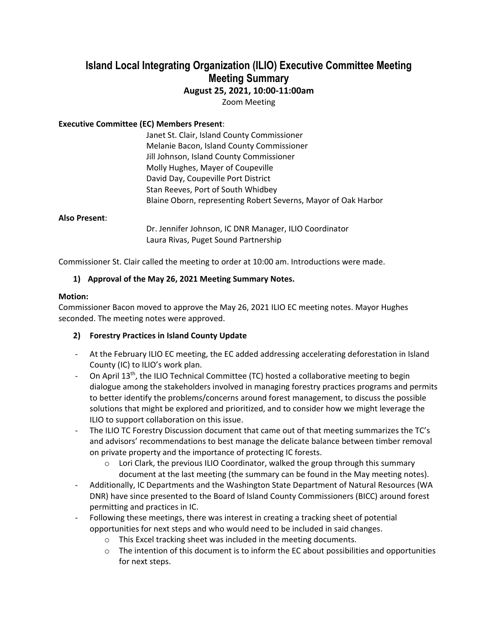# **Island Local Integrating Organization (ILIO) Executive Committee Meeting Meeting Summary**

# **August 25, 2021, 10:00-11:00am**

Zoom Meeting

### **Executive Committee (EC) Members Present**:

Janet St. Clair, Island County Commissioner Melanie Bacon, Island County Commissioner Jill Johnson, Island County Commissioner Molly Hughes, Mayer of Coupeville David Day, Coupeville Port District Stan Reeves, Port of South Whidbey Blaine Oborn, representing Robert Severns, Mayor of Oak Harbor

#### **Also Present**:

Dr. Jennifer Johnson, IC DNR Manager, ILIO Coordinator Laura Rivas, Puget Sound Partnership

Commissioner St. Clair called the meeting to order at 10:00 am. Introductions were made.

## **1) Approval of the May 26, 2021 Meeting Summary Notes.**

#### **Motion:**

Commissioner Bacon moved to approve the May 26, 2021 ILIO EC meeting notes. Mayor Hughes seconded. The meeting notes were approved.

## **2) Forestry Practices in Island County Update**

- At the February ILIO EC meeting, the EC added addressing accelerating deforestation in Island County (IC) to ILIO's work plan.
- On April 13<sup>th</sup>, the ILIO Technical Committee (TC) hosted a collaborative meeting to begin dialogue among the stakeholders involved in managing forestry practices programs and permits to better identify the problems/concerns around forest management, to discuss the possible solutions that might be explored and prioritized, and to consider how we might leverage the ILIO to support collaboration on this issue.
- The ILIO TC Forestry Discussion document that came out of that meeting summarizes the TC's and advisors' recommendations to best manage the delicate balance between timber removal on private property and the importance of protecting IC forests.
	- $\circ$  Lori Clark, the previous ILIO Coordinator, walked the group through this summary document at the last meeting (the summary can be found in the May meeting notes).
- Additionally, IC Departments and the Washington State Department of Natural Resources (WA DNR) have since presented to the Board of Island County Commissioners (BICC) around forest permitting and practices in IC.
- Following these meetings, there was interest in creating a tracking sheet of potential opportunities for next steps and who would need to be included in said changes.
	- o This Excel tracking sheet was included in the meeting documents.
	- $\circ$  The intention of this document is to inform the EC about possibilities and opportunities for next steps.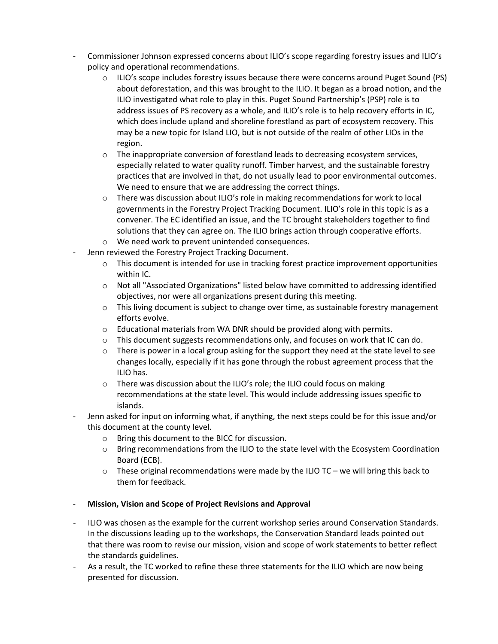- Commissioner Johnson expressed concerns about ILIO's scope regarding forestry issues and ILIO's policy and operational recommendations.
	- $\circ$  ILIO's scope includes forestry issues because there were concerns around Puget Sound (PS) about deforestation, and this was brought to the ILIO. It began as a broad notion, and the ILIO investigated what role to play in this. Puget Sound Partnership's (PSP) role is to address issues of PS recovery as a whole, and ILIO's role is to help recovery efforts in IC, which does include upland and shoreline forestland as part of ecosystem recovery. This may be a new topic for Island LIO, but is not outside of the realm of other LIOs in the region.
	- $\circ$  The inappropriate conversion of forestland leads to decreasing ecosystem services, especially related to water quality runoff. Timber harvest, and the sustainable forestry practices that are involved in that, do not usually lead to poor environmental outcomes. We need to ensure that we are addressing the correct things.
	- $\circ$  There was discussion about ILIO's role in making recommendations for work to local governments in the Forestry Project Tracking Document. ILIO's role in this topic is as a convener. The EC identified an issue, and the TC brought stakeholders together to find solutions that they can agree on. The ILIO brings action through cooperative efforts.
	- o We need work to prevent unintended consequences.
- Jenn reviewed the Forestry Project Tracking Document.
	- $\circ$  This document is intended for use in tracking forest practice improvement opportunities within IC.
	- o Not all "Associated Organizations" listed below have committed to addressing identified objectives, nor were all organizations present during this meeting.
	- $\circ$  This living document is subject to change over time, as sustainable forestry management efforts evolve.
	- o Educational materials from WA DNR should be provided along with permits.
	- $\circ$  This document suggests recommendations only, and focuses on work that IC can do.
	- $\circ$  There is power in a local group asking for the support they need at the state level to see changes locally, especially if it has gone through the robust agreement process that the ILIO has.
	- $\circ$  There was discussion about the ILIO's role; the ILIO could focus on making recommendations at the state level. This would include addressing issues specific to islands.
- Jenn asked for input on informing what, if anything, the next steps could be for this issue and/or this document at the county level.
	- o Bring this document to the BICC for discussion.
	- o Bring recommendations from the ILIO to the state level with the Ecosystem Coordination Board (ECB).
	- $\circ$  These original recommendations were made by the ILIO TC we will bring this back to them for feedback.

#### - **Mission, Vision and Scope of Project Revisions and Approval**

- ILIO was chosen as the example for the current workshop series around Conservation Standards. In the discussions leading up to the workshops, the Conservation Standard leads pointed out that there was room to revise our mission, vision and scope of work statements to better reflect the standards guidelines.
- As a result, the TC worked to refine these three statements for the ILIO which are now being presented for discussion.